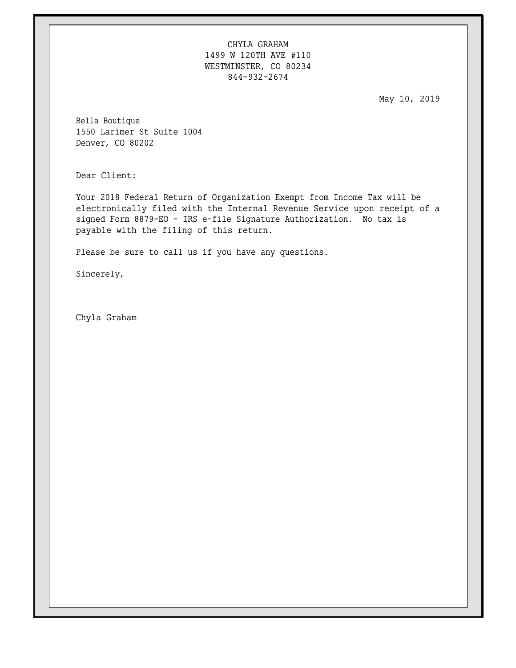CHYLA GRAHAM 1499 W 120TH AVE #110 WESTMINSTER, CO 80234 844-932-2674

May 10, 2019

Bella Boutique 1550 Larimer St Suite 1004 Denver, CO 80202

Dear Client:

Your 2018 Federal Return of Organization Exempt from Income Tax will be electronically filed with the Internal Revenue Service upon receipt of a signed Form 8879-EO - IRS e-file Signature Authorization. No tax is payable with the filing of this return.

Please be sure to call us if you have any questions.

Sincerely,

Chyla Graham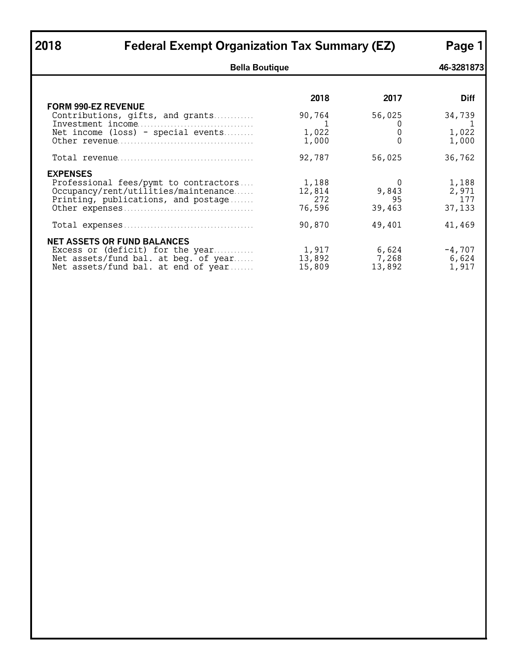| 2018                       | <b>Federal Exempt Organization Tax Summary (EZ)</b>                                                                                                   |                                  |                            |                                 |  |
|----------------------------|-------------------------------------------------------------------------------------------------------------------------------------------------------|----------------------------------|----------------------------|---------------------------------|--|
|                            | <b>Bella Boutique</b>                                                                                                                                 |                                  |                            | 46-3281873                      |  |
|                            |                                                                                                                                                       | 2018                             | 2017                       | <b>Diff</b>                     |  |
| <b>FORM 990-EZ REVENUE</b> | Contributions, gifts, and grants                                                                                                                      | 90,764                           | 56,025                     | 34,739                          |  |
|                            | Net income (loss) - special events                                                                                                                    | 1<br>1,022<br>1,000              | U<br>0                     | -1<br>1,022<br>1,000            |  |
|                            |                                                                                                                                                       | 92,787                           | 56,025                     | 36,762                          |  |
| <b>EXPENSES</b>            | Professional fees/pymt to contractors<br>Occupancy/rent/utilities/maintenance<br>Printing, publications, and postage                                  | 1,188<br>12,814<br>272<br>76,596 | 0<br>9,843<br>95<br>39,463 | 1,188<br>2,971<br>177<br>37,133 |  |
|                            |                                                                                                                                                       | 90,870                           | 49,401                     | 41,469                          |  |
|                            | <b>NET ASSETS OR FUND BALANCES</b><br>Excess or (deficit) for the year<br>Net assets/fund bal. at beg. of year<br>Net assets/fund bal. at end of year | 1,917<br>13,892<br>15,809        | 6,624<br>7,268<br>13,892   | $-4,707$<br>6,624<br>1,917      |  |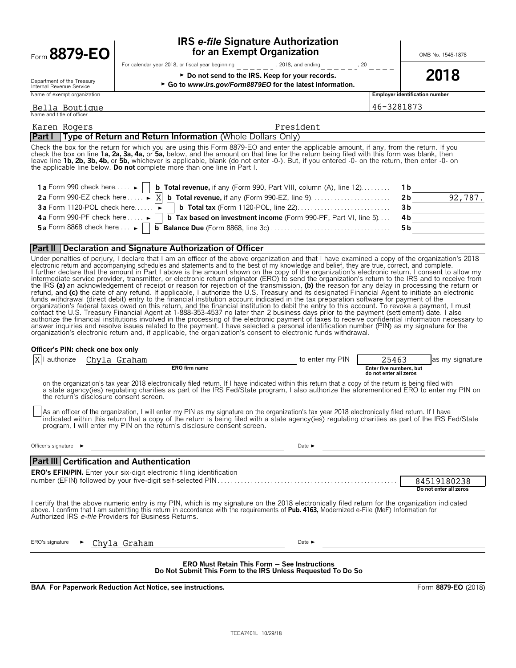| Form 8879-EO                                                             | <b>IRS e-file Signature Authorization</b><br>for an Exempt Organization                                                                                                                                                                                                                                                                                                                                                                                                                                                  |      | OMB No. 1545-1878 |                                       |
|--------------------------------------------------------------------------|--------------------------------------------------------------------------------------------------------------------------------------------------------------------------------------------------------------------------------------------------------------------------------------------------------------------------------------------------------------------------------------------------------------------------------------------------------------------------------------------------------------------------|------|-------------------|---------------------------------------|
|                                                                          | For calendar year 2018, or fiscal year beginning<br>, 2018, and ending                                                                                                                                                                                                                                                                                                                                                                                                                                                   | , 20 |                   |                                       |
| Department of the Treasury<br>Internal Revenue Service                   | ► Do not send to the IRS. Keep for your records.<br>► Go to www.irs.gov/Form8879EO for the latest information.                                                                                                                                                                                                                                                                                                                                                                                                           |      |                   | 2018                                  |
| Name of exempt organization                                              |                                                                                                                                                                                                                                                                                                                                                                                                                                                                                                                          |      |                   | <b>Employer identification number</b> |
| Bella Boutique<br>Name and title of officer                              |                                                                                                                                                                                                                                                                                                                                                                                                                                                                                                                          |      | 46-3281873        |                                       |
| Karen Rogers                                                             | President                                                                                                                                                                                                                                                                                                                                                                                                                                                                                                                |      |                   |                                       |
|                                                                          | <b>Part I</b> Type of Return and Return Information (Whole Dollars Only)                                                                                                                                                                                                                                                                                                                                                                                                                                                 |      |                   |                                       |
|                                                                          | Check the box for the return for which you are using this Form 8879-EO and enter the applicable amount, if any, from the return. If you<br>check the box on line 1a, 2a, 3a, 4a, or 5a, below, and the amount on that line for the return being filed with this form was blank, then<br>leave line 1b, 2b, 3b, 4b, or 5b, whichever is applicable, blank (do not enter -0-). But, if you entered -0- on the return, then enter -0- on<br>the applicable line below. <b>Do not</b> complete more than one line in Part I. |      |                   |                                       |
| 1 a Form 990 check here $\dots \rightarrow$<br>2a Form 990-F7 check here | <b>b Total revenue, if any (Form 990, Part VIII, column (A), line 12)</b><br>$ v $ h Total rovenue if any (Form 990 F7 line 9)                                                                                                                                                                                                                                                                                                                                                                                           |      | 1b<br>つん          | 70<br>ດລ                              |

| 2a Form 990-EZ check here $\dots \rightarrow [X]$ <b>b</b> Total revenue, if any (Form 990-EZ, line 9). $\dots \dots \dots \dots \dots \dots$ 2b | 92,787. |
|--------------------------------------------------------------------------------------------------------------------------------------------------|---------|
|                                                                                                                                                  |         |
| 4b Form 990-PF check here $\Box$ <b>b</b> Tax based on investment income (Form 990-PF, Part VI, line 5) 4b                                       |         |
| 5 a Form 8868 check here $\ldots$ D Balance Due (Form 8868, line 3c) $\ldots$ $\ldots$ $\ldots$ $\ldots$ $\ldots$ $\ldots$ 5 b                   |         |

### **Part II Declaration and Signature Authorization of Officer**

Under penalties of perjury, I declare that I am an officer of the above organization and that I have examined a copy of the organization's 2018<br>electronic return and accompanying schedules and statements and to the best of l further declare that the amount in Part I above is the amount shown on the copy of the organization's electronic return. I consent to allow my<br>intermediate service provider, transmitter, or electronic return originator ( the IRS **(a)** an acknowledgement of receipt or reason for rejection of the transmission, **(b)** the reason for any delay in processing the return or refund, and (c) the date of any refund. If applicable, I authorize the U.S. Treasury and its designated Financial Agent to initiate an electronic<br>funds withdrawal (direct debit) entry to the financial institution account i organization's federal taxes owed on this return, and the financial institution to debit the entry to this account. To revoke a payment, I must contact the U.S. Treasury Financial Agent at 1-888-353-4537 no later than 2 business days prior to the payment (settlement) date. I also<br>authorize the financial institutions involved in the processing of the electronic pay answer inquiries and resolve issues related to the payment. I have selected a personal identification number (PIN) as my signature for the organization's electronic return and, if applicable, the organization's consent to electronic funds withdrawal.

### **Officer's PIN: check one box only**

| authorize<br>X                                                                                                                                                                                                                                                                                                                                                 |  | Chyla Graham                                                                                                                                                                                                                                                                                                                                                                     | to enter my PIN            | 25463                                             | as my signature        |  |  |  |
|----------------------------------------------------------------------------------------------------------------------------------------------------------------------------------------------------------------------------------------------------------------------------------------------------------------------------------------------------------------|--|----------------------------------------------------------------------------------------------------------------------------------------------------------------------------------------------------------------------------------------------------------------------------------------------------------------------------------------------------------------------------------|----------------------------|---------------------------------------------------|------------------------|--|--|--|
|                                                                                                                                                                                                                                                                                                                                                                |  | <b>ERO</b> firm name                                                                                                                                                                                                                                                                                                                                                             |                            | Enter five numbers, but<br>do not enter all zeros |                        |  |  |  |
|                                                                                                                                                                                                                                                                                                                                                                |  | on the organization's tax year 2018 electronically filed return. If I have indicated within this return that a copy of the return is being filed with<br>a state agency(ies) regulating charities as part of the IRS Fed/State program, I also authorize the aforementioned ERO to enter my PIN on<br>the return's disclosure consent screen.                                    |                            |                                                   |                        |  |  |  |
|                                                                                                                                                                                                                                                                                                                                                                |  | As an officer of the organization, I will enter my PIN as my signature on the organization's tax year 2018 electronically filed return. If I have<br>indicated within this return that a copy of the return is being filed with a state agency(ies) regulating charities as part of the IRS Fed/State<br>program, I will enter my PIN on the return's disclosure consent screen. |                            |                                                   |                        |  |  |  |
| Officer's signature $\blacktriangleright$                                                                                                                                                                                                                                                                                                                      |  |                                                                                                                                                                                                                                                                                                                                                                                  | Date $\blacktriangleright$ |                                                   |                        |  |  |  |
|                                                                                                                                                                                                                                                                                                                                                                |  | <b>Part III Certification and Authentication</b>                                                                                                                                                                                                                                                                                                                                 |                            |                                                   |                        |  |  |  |
|                                                                                                                                                                                                                                                                                                                                                                |  | <b>ERO's EFIN/PIN.</b> Enter your six-digit electronic filing identification                                                                                                                                                                                                                                                                                                     |                            |                                                   |                        |  |  |  |
|                                                                                                                                                                                                                                                                                                                                                                |  |                                                                                                                                                                                                                                                                                                                                                                                  |                            |                                                   | 84519180238            |  |  |  |
|                                                                                                                                                                                                                                                                                                                                                                |  |                                                                                                                                                                                                                                                                                                                                                                                  |                            |                                                   | Do not enter all zeros |  |  |  |
| I certify that the above numeric entry is my PIN, which is my signature on the 2018 electronically filed return for the organization indicated<br>above. I confirm that I am submitting this return in accordance with the requirements of <b>Pub. 4163</b> , Modernized e-File (MeF) Information for<br>Authorized IRS e-file Providers for Business Returns. |  |                                                                                                                                                                                                                                                                                                                                                                                  |                            |                                                   |                        |  |  |  |
| ERO's signature                                                                                                                                                                                                                                                                                                                                                |  | Chyla Graham                                                                                                                                                                                                                                                                                                                                                                     | Date $\blacktriangleright$ |                                                   |                        |  |  |  |
| <b>ERO Must Retain This Form - See Instructions</b><br>Do Not Submit This Form to the IRS Unless Requested To Do So                                                                                                                                                                                                                                            |  |                                                                                                                                                                                                                                                                                                                                                                                  |                            |                                                   |                        |  |  |  |

**BAA For Paperwork Reduction Act Notice, see instructions.** Form **8879-EO** (2018)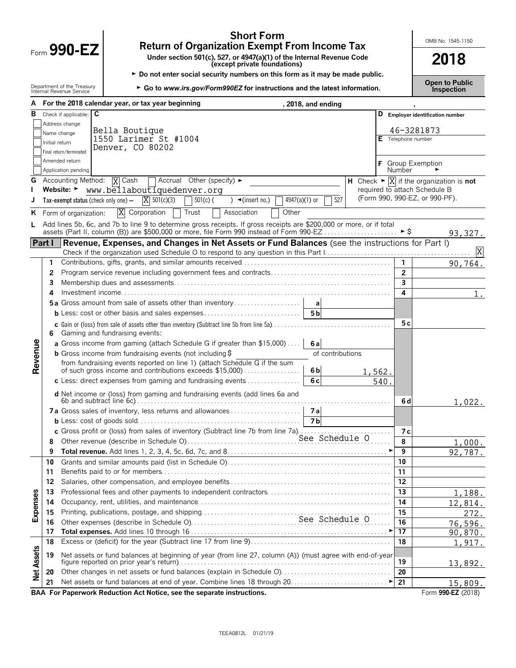| Form $990 - h$ |  |
|----------------|--|
|                |  |

 $\overline{a}$ 

# **Short Form**<br> **Return of Organization Exempt From Income Tax**<br>
Under section 501(c), 527, or 4947(a)(1) of the Internal Revenue Code<br> **2018**

Form **990-EZ Under section 501(c), 527, or 4947(a)(1) of the Internal Revenue Code (except private foundations) 2018**

► Do not enter social security numbers on this form as it may be made public.

**Open to Public** Department of the Treasury <sup>G</sup>**Go to** *www.irs.gov/Form990EZ* **for instructions and the latest information***.* Internal Revenue Service **Inspection**

| А                 |                | For the 2018 calendar year, or tax year beginning<br>, 2018, and ending                                                                                                                                          |                                                                         |
|-------------------|----------------|------------------------------------------------------------------------------------------------------------------------------------------------------------------------------------------------------------------|-------------------------------------------------------------------------|
| в                 |                | $\overline{\mathbf{c}}$<br>Check if applicable:<br>D                                                                                                                                                             | <b>Employer identification number</b>                                   |
|                   |                | Address change                                                                                                                                                                                                   |                                                                         |
|                   |                | Bella Boutique<br>Name change                                                                                                                                                                                    | 46-3281873                                                              |
|                   | Initial return | 1550 Larimer St #1004<br>Denver, CO 80202                                                                                                                                                                        | E Telephone number                                                      |
|                   |                | Final return/terminated                                                                                                                                                                                          |                                                                         |
|                   |                | Amended return                                                                                                                                                                                                   | <b>Group Exemption</b>                                                  |
|                   |                | Application pending                                                                                                                                                                                              | Number                                                                  |
| G                 |                | <b>X</b> Cash<br>Accounting Method:<br>$\overline{\phantom{a}}$ Accrual Other (specify) $\blacktriangleright$                                                                                                    | H Check $\triangleright \overline{X}$ if the organization is <b>not</b> |
|                   |                | Website: Www.bellaboutiquedenver.org                                                                                                                                                                             | required to attach Schedule B                                           |
| J                 |                | $X \frac{501(c)(3)}{2}$<br>527<br>4947(a)(1) or<br>Tax-exempt status (check only one) $-$<br>$501(c)$ (<br>$\sqrt{\frac{1}{1}}$ (insert no.)                                                                     | (Form 990, 990-EZ, or 990-PF).                                          |
|                   |                | $\overline{X}$ Corporation<br>Trust<br>Other<br>Association<br>K Form of organization:                                                                                                                           |                                                                         |
| L                 |                | Add lines 5b, 6c, and 7b to line 9 to determine gross receipts. If gross receipts are \$200,000 or more, or if total<br>assets (Part II, column (B)) are \$500,000 or more, file Form 990 instead of Form 990-EZ | $\blacktriangleright$ \$<br>93,327.                                     |
|                   | Part I         | Revenue, Expenses, and Changes in Net Assets or Fund Balances (see the instructions for Part I)                                                                                                                  |                                                                         |
|                   |                |                                                                                                                                                                                                                  |                                                                         |
|                   | 1              |                                                                                                                                                                                                                  | $\mathbf{1}$<br>90,764.                                                 |
|                   | 2              |                                                                                                                                                                                                                  | $\overline{2}$                                                          |
|                   | 3              |                                                                                                                                                                                                                  | 3                                                                       |
|                   | 4              |                                                                                                                                                                                                                  | 4<br>1.                                                                 |
|                   |                | 5a Gross amount from sale of assets other than inventory<br>a                                                                                                                                                    |                                                                         |
|                   |                | 5 <sub>b</sub>                                                                                                                                                                                                   |                                                                         |
|                   |                | c Gain or (loss) from sale of assets other than inventory (Subtract line 5b from line 5a)                                                                                                                        | 5с                                                                      |
|                   | 6              | Gaming and fundraising events:                                                                                                                                                                                   |                                                                         |
|                   |                | a Gross income from gaming (attach Schedule G if greater than \$15,000)<br>6al                                                                                                                                   |                                                                         |
|                   |                | <b>b</b> Gross income from fundraising events (not including $\hat{\boldsymbol{\varsigma}}$<br>of contributions                                                                                                  |                                                                         |
| Revenue           |                | from fundraising events reported on line 1) (attach Schedule G if the sum<br>of such gross income and contributions exceeds \$15,000)<br>6 <sub>b</sub><br>1,562.                                                |                                                                         |
|                   |                | 6c<br>c Less: direct expenses from gaming and fundraising events $\ldots$<br>540.                                                                                                                                |                                                                         |
|                   |                | d Net income or (loss) from gaming and fundraising events (add lines 6a and                                                                                                                                      | 6 d<br>1,022.                                                           |
|                   |                | 7a Gross sales of inventory, less returns and allowances<br>7a                                                                                                                                                   |                                                                         |
|                   |                | 7 <sub>b</sub>                                                                                                                                                                                                   |                                                                         |
|                   |                | c Gross profit or (loss) from sales of inventory (Subtract line 7b from line 7a). $\overline{\ldots}$                                                                                                            | 7 с                                                                     |
|                   | 8              |                                                                                                                                                                                                                  | 8<br>1,000.                                                             |
|                   | 9              |                                                                                                                                                                                                                  | 9<br>92,787.                                                            |
|                   | 10             |                                                                                                                                                                                                                  | 10                                                                      |
|                   | 11             |                                                                                                                                                                                                                  | 11                                                                      |
|                   | 12             |                                                                                                                                                                                                                  | 12                                                                      |
|                   | 13             |                                                                                                                                                                                                                  | 13<br>1,188.                                                            |
| Expenses          | 14             |                                                                                                                                                                                                                  | 14<br>12,814.                                                           |
|                   | 15             |                                                                                                                                                                                                                  | 15<br>272.                                                              |
|                   | 16             |                                                                                                                                                                                                                  | 16<br>76,596.                                                           |
|                   | 17             |                                                                                                                                                                                                                  | $\overline{17}$<br>90,870.                                              |
|                   | 18             |                                                                                                                                                                                                                  | 18<br>1,917.                                                            |
| <b>Net Assets</b> | 19             | Net assets or fund balances at beginning of year (from line 27, column (A)) (must agree with end-of-year                                                                                                         | 19<br>13,892.                                                           |
|                   | 20             |                                                                                                                                                                                                                  | 20                                                                      |
|                   | 21             |                                                                                                                                                                                                                  | 21<br>15,809.                                                           |
|                   |                | BAA For Paperwork Reduction Act Notice, see the separate instructions.                                                                                                                                           | Form 990-EZ (2018)                                                      |
|                   |                |                                                                                                                                                                                                                  |                                                                         |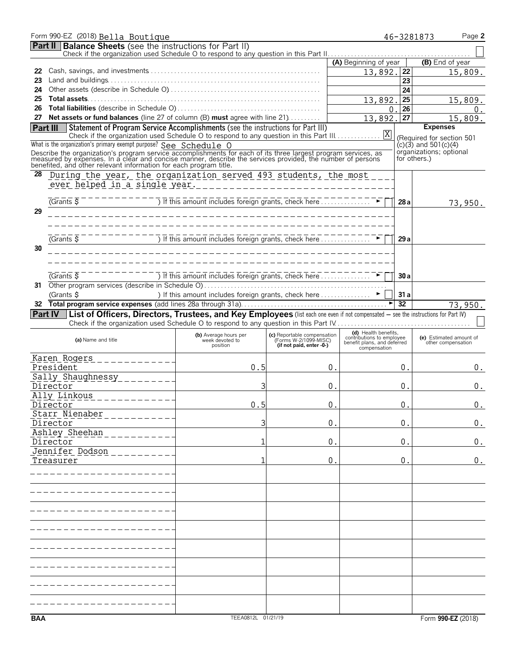|            | Form 990-EZ (2018) Bella Boutique                                                                                                                                                                                                                                                                                                                      |                                                                                  |                                                      |                                                   |                 | Page 2<br>46-3281873                                   |
|------------|--------------------------------------------------------------------------------------------------------------------------------------------------------------------------------------------------------------------------------------------------------------------------------------------------------------------------------------------------------|----------------------------------------------------------------------------------|------------------------------------------------------|---------------------------------------------------|-----------------|--------------------------------------------------------|
|            | <b>Part II</b> Balance Sheets (see the instructions for Part II)                                                                                                                                                                                                                                                                                       |                                                                                  |                                                      |                                                   |                 |                                                        |
|            |                                                                                                                                                                                                                                                                                                                                                        |                                                                                  |                                                      | (A) Beginning of year                             |                 | (B) End of year                                        |
| 22         |                                                                                                                                                                                                                                                                                                                                                        |                                                                                  |                                                      | 13,892.                                           | 22              | 15,809.                                                |
| 23         |                                                                                                                                                                                                                                                                                                                                                        |                                                                                  |                                                      |                                                   | 23              |                                                        |
| 24         |                                                                                                                                                                                                                                                                                                                                                        |                                                                                  |                                                      |                                                   | 24              |                                                        |
| 25         |                                                                                                                                                                                                                                                                                                                                                        |                                                                                  |                                                      | 13,892.                                           | 25              | 15,809.                                                |
| 26         |                                                                                                                                                                                                                                                                                                                                                        |                                                                                  |                                                      | 0                                                 | 26              | 0.                                                     |
| 27         | Net assets or fund balances (line 27 of column (B) must agree with line 21)                                                                                                                                                                                                                                                                            |                                                                                  |                                                      | 13,892.                                           | $\overline{27}$ | 15,809.                                                |
| Part III   | Statement of Program Service Accomplishments (see the instructions for Part III)                                                                                                                                                                                                                                                                       |                                                                                  |                                                      |                                                   |                 | <b>Expenses</b>                                        |
|            | What is the organization's primary exempt purpose? See Schedule O                                                                                                                                                                                                                                                                                      |                                                                                  |                                                      |                                                   |                 | (Required for section 501<br>$(c)(3)$ and 501 $(c)(4)$ |
|            |                                                                                                                                                                                                                                                                                                                                                        |                                                                                  |                                                      |                                                   |                 | organizations; optional                                |
|            | Describe the organization's program service accomplishments for each of its three largest program services, as<br>measured by expenses. In a clear and concise manner, describe the services provided, the number of persons<br>bene                                                                                                                   |                                                                                  |                                                      |                                                   |                 | for others.)                                           |
| 28         | During the year, the organization served 493 students, the most                                                                                                                                                                                                                                                                                        |                                                                                  |                                                      |                                                   |                 |                                                        |
|            | ever helped in a single year.                                                                                                                                                                                                                                                                                                                          |                                                                                  |                                                      |                                                   |                 |                                                        |
|            |                                                                                                                                                                                                                                                                                                                                                        |                                                                                  |                                                      |                                                   |                 |                                                        |
|            | $\frac{1}{1}$ $\frac{1}{1}$ $\frac{1}{1}$ $\frac{1}{1}$ $\frac{1}{1}$ $\frac{1}{1}$ $\frac{1}{1}$ $\frac{1}{1}$ $\frac{1}{1}$ $\frac{1}{1}$ $\frac{1}{1}$ $\frac{1}{1}$ $\frac{1}{1}$ $\frac{1}{1}$ $\frac{1}{1}$ $\frac{1}{1}$ $\frac{1}{1}$ $\frac{1}{1}$ $\frac{1}{1}$ $\frac{1}{1}$ $\frac{1}{1}$ $\frac{1}{1}$<br>$\sqrt{G}$ rants $\overline{S}$ |                                                                                  |                                                      |                                                   | 28a             | 73,950.                                                |
| 29         |                                                                                                                                                                                                                                                                                                                                                        |                                                                                  |                                                      |                                                   |                 |                                                        |
|            |                                                                                                                                                                                                                                                                                                                                                        |                                                                                  |                                                      |                                                   |                 |                                                        |
|            |                                                                                                                                                                                                                                                                                                                                                        |                                                                                  |                                                      |                                                   |                 |                                                        |
|            | $\sqrt{G}$ rants $\overline{S}$                                                                                                                                                                                                                                                                                                                        | ) If this amount includes foreign grants, check here                             |                                                      |                                                   | 29a             |                                                        |
| 30         |                                                                                                                                                                                                                                                                                                                                                        |                                                                                  |                                                      |                                                   |                 |                                                        |
|            |                                                                                                                                                                                                                                                                                                                                                        |                                                                                  |                                                      |                                                   |                 |                                                        |
|            | $G$ rants $\overline{S}$                                                                                                                                                                                                                                                                                                                               | <u>) If this amount includes foreign grants, check here Communiculation</u>      |                                                      |                                                   | 30a             |                                                        |
| 31         |                                                                                                                                                                                                                                                                                                                                                        |                                                                                  |                                                      |                                                   |                 |                                                        |
|            | (Grants \$                                                                                                                                                                                                                                                                                                                                             | ) If this amount includes foreign grants, check here $\dots\dots\dots\dots\dots$ |                                                      |                                                   | 31a             |                                                        |
| 32         |                                                                                                                                                                                                                                                                                                                                                        |                                                                                  |                                                      |                                                   | 32              | 73,950.                                                |
|            | Part IV   List of Officers, Directors, Trustees, and Key Employees (list each one even if not compensated - see the instructions for Part IV)                                                                                                                                                                                                          |                                                                                  |                                                      |                                                   |                 |                                                        |
|            |                                                                                                                                                                                                                                                                                                                                                        |                                                                                  |                                                      |                                                   |                 |                                                        |
|            | (a) Name and title                                                                                                                                                                                                                                                                                                                                     | (b) Average hours per<br>week devoted to                                         | (c) Reportable compensation<br>(Forms W-2/1099-MISC) | (d) Health benefits,<br>contributions to employee |                 | (e) Estimated amount of                                |
|            |                                                                                                                                                                                                                                                                                                                                                        | position                                                                         | (if not paid, enter -0-)                             | benefit plans, and deferred<br>compensation       |                 | other compensation                                     |
|            |                                                                                                                                                                                                                                                                                                                                                        |                                                                                  |                                                      |                                                   |                 |                                                        |
|            | President                                                                                                                                                                                                                                                                                                                                              | 0.5                                                                              | 0.                                                   |                                                   | 0.              | 0.                                                     |
|            | Sally Shaughnessy __________                                                                                                                                                                                                                                                                                                                           |                                                                                  |                                                      |                                                   |                 |                                                        |
|            | Director                                                                                                                                                                                                                                                                                                                                               | 3                                                                                |                                                      | 0.                                                | 0.              | 0.                                                     |
|            | Ally Linkous<br>----------                                                                                                                                                                                                                                                                                                                             |                                                                                  |                                                      |                                                   |                 |                                                        |
|            | Director                                                                                                                                                                                                                                                                                                                                               | 0.5                                                                              | 0.                                                   |                                                   | 0 <sup>1</sup>  | 0.                                                     |
|            | Starr Nienaber<br>Director                                                                                                                                                                                                                                                                                                                             | 3                                                                                | $\mathbf 0$ .                                        |                                                   | 0.              | 0.                                                     |
|            | Ashley Sheehan                                                                                                                                                                                                                                                                                                                                         |                                                                                  |                                                      |                                                   |                 |                                                        |
|            | Director                                                                                                                                                                                                                                                                                                                                               | 1                                                                                | 0.                                                   |                                                   | 0.              | 0.                                                     |
|            | Jennifer Dodson                                                                                                                                                                                                                                                                                                                                        |                                                                                  |                                                      |                                                   |                 |                                                        |
|            | Treasurer                                                                                                                                                                                                                                                                                                                                              | 1                                                                                | 0.                                                   |                                                   | 0.              | 0.                                                     |
|            |                                                                                                                                                                                                                                                                                                                                                        |                                                                                  |                                                      |                                                   |                 |                                                        |
|            |                                                                                                                                                                                                                                                                                                                                                        |                                                                                  |                                                      |                                                   |                 |                                                        |
|            |                                                                                                                                                                                                                                                                                                                                                        |                                                                                  |                                                      |                                                   |                 |                                                        |
|            |                                                                                                                                                                                                                                                                                                                                                        |                                                                                  |                                                      |                                                   |                 |                                                        |
|            |                                                                                                                                                                                                                                                                                                                                                        |                                                                                  |                                                      |                                                   |                 |                                                        |
|            |                                                                                                                                                                                                                                                                                                                                                        |                                                                                  |                                                      |                                                   |                 |                                                        |
|            |                                                                                                                                                                                                                                                                                                                                                        |                                                                                  |                                                      |                                                   |                 |                                                        |
|            |                                                                                                                                                                                                                                                                                                                                                        |                                                                                  |                                                      |                                                   |                 |                                                        |
|            |                                                                                                                                                                                                                                                                                                                                                        |                                                                                  |                                                      |                                                   |                 |                                                        |
|            |                                                                                                                                                                                                                                                                                                                                                        |                                                                                  |                                                      |                                                   |                 |                                                        |
|            |                                                                                                                                                                                                                                                                                                                                                        |                                                                                  |                                                      |                                                   |                 |                                                        |
|            |                                                                                                                                                                                                                                                                                                                                                        |                                                                                  |                                                      |                                                   |                 |                                                        |
|            |                                                                                                                                                                                                                                                                                                                                                        |                                                                                  |                                                      |                                                   |                 |                                                        |
|            |                                                                                                                                                                                                                                                                                                                                                        |                                                                                  |                                                      |                                                   |                 |                                                        |
| <b>BAA</b> |                                                                                                                                                                                                                                                                                                                                                        | TEEA0812L 01/21/19                                                               |                                                      |                                                   |                 | Form 990-EZ (2018)                                     |
|            |                                                                                                                                                                                                                                                                                                                                                        |                                                                                  |                                                      |                                                   |                 |                                                        |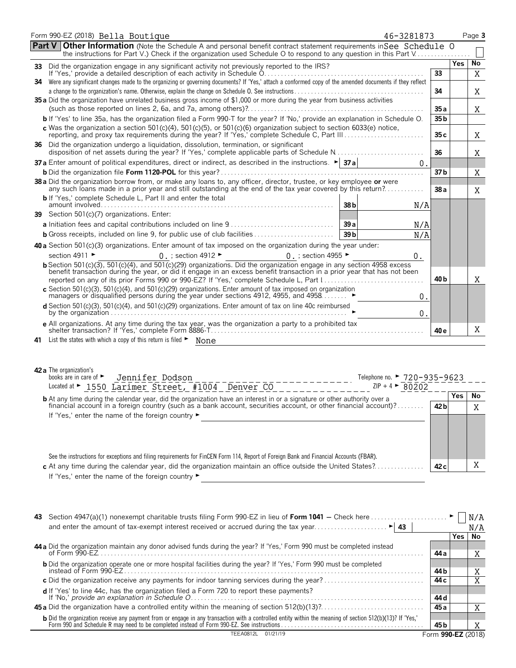| Form 990-EZ (2018) Bella Boutique                                                                                                                                                                                                                | 46-3281873                   |                 |     | Page 3  |
|--------------------------------------------------------------------------------------------------------------------------------------------------------------------------------------------------------------------------------------------------|------------------------------|-----------------|-----|---------|
| <b>Part V Other Information</b> (Note the Schedule A and personal benefit contract statement requirements in See Schedule O<br>the instructions for Part V.) Check if the organization used Schedule O to respond to any question in this Part V |                              |                 |     |         |
|                                                                                                                                                                                                                                                  |                              |                 | Yes | No      |
|                                                                                                                                                                                                                                                  |                              | 33              |     | X       |
| 34 Were any significant changes made to the organizing or governing documents? If 'Yes,' attach a conformed copy of the amended documents if they reflect                                                                                        |                              | 34              |     | Χ       |
| 35 a Did the organization have unrelated business gross income of \$1,000 or more during the year from business activities                                                                                                                       |                              |                 |     |         |
|                                                                                                                                                                                                                                                  |                              | 35 a            |     | Χ       |
| b If 'Yes' to line 35a, has the organization filed a Form 990-T for the year? If 'No,' provide an explanation in Schedule O.                                                                                                                     |                              | 35 <sub>b</sub> |     |         |
| c Was the organization a section $501(c)(4)$ , $501(c)(5)$ , or $501(c)(6)$ organization subject to section 6033(e) notice,                                                                                                                      |                              | 35c             |     | Χ       |
| 36 Did the organization undergo a liguidation, dissolution, termination, or significant                                                                                                                                                          |                              | 36              |     | Χ       |
| <b>37 a</b> Enter amount of political expenditures, direct or indirect, as described in the instructions. $\blacktriangleright$ <b>37 a</b>                                                                                                      | $\Omega$ .                   |                 |     |         |
|                                                                                                                                                                                                                                                  |                              | 37 <sub>b</sub> |     | X       |
| 38 a Did the organization borrow from, or make any loans to, any officer, director, trustee, or key employee or were<br>any such loans made in a prior year and still outstanding at the end of the tax year covered by this return?             |                              | 38a             |     | X       |
| <b>b</b> If 'Yes,' complete Schedule L, Part II and enter the total                                                                                                                                                                              | 38 <sub>b</sub><br>N/A       |                 |     |         |
| 39 Section 501(c)(7) organizations. Enter:                                                                                                                                                                                                       |                              |                 |     |         |
|                                                                                                                                                                                                                                                  | 39a<br>N/A                   |                 |     |         |
|                                                                                                                                                                                                                                                  | 39 <sub>b</sub><br>N/A       |                 |     |         |
| 40 a Section 501(c)(3) organizations. Enter amount of tax imposed on the organization during the year under:                                                                                                                                     |                              |                 |     |         |
| section 4911 ►<br>$0.$ ; section 4912 $\blacktriangleright$<br>0 .; section 4955 ►                                                                                                                                                               | 0.                           |                 |     |         |
| <b>b</b> Section 501(c)(3), 501(c)(4), and 501(c)(29) organizations. Did the organization engage in any section 4958 excess                                                                                                                      |                              |                 |     |         |
| benefit transaction during the year, or did it engage in an excess benefit transaction in a prior year that has not been                                                                                                                         |                              | 40 b            |     |         |
| reported on any of its prior Forms 990 or 990-EZ? If 'Yes,' complete Schedule L, Part I<br>c Section 501(c)(3), 501(c)(4), and 501(c)(29) organizations. Enter amount of tax imposed on organization                                             |                              |                 |     | Χ       |
| managers or disqualified persons during the year under sections 4912, 4955, and 4958.                                                                                                                                                            | 0.                           |                 |     |         |
| <b>d</b> Section 501(c)(3), 501(c)(4), and 501(c)(29) organizations. Enter amount of tax on line 40c reimbursed                                                                                                                                  | $0$ .                        |                 |     |         |
| e All organizations. At any time during the tax year, was the organization a party to a prohibited tax                                                                                                                                           |                              | 40 e            |     | Χ       |
| 41 List the states with which a copy of this return is filed • None                                                                                                                                                                              |                              |                 |     |         |
|                                                                                                                                                                                                                                                  |                              |                 |     |         |
|                                                                                                                                                                                                                                                  |                              |                 |     |         |
| 42 a The organization's                                                                                                                                                                                                                          |                              |                 |     |         |
| books are in care of ►<br>Jennifer Dodson                                                                                                                                                                                                        | Telephone no. ► 720-935-9623 |                 |     |         |
| Located at > 1550 Larimer Street, #1004 Denver CO                                                                                                                                                                                                | $ZIP + 4$ > 80202            |                 |     |         |
| <b>b</b> At any time during the calendar year, did the organization have an interest in or a signature or other authority over a financial account in a foreign country (such as a bank account, securities account, or other finan              |                              | 42 b            | Yes | No<br>X |
| If 'Yes,' enter the name of the foreign country ►                                                                                                                                                                                                |                              |                 |     |         |
|                                                                                                                                                                                                                                                  |                              |                 |     |         |
|                                                                                                                                                                                                                                                  |                              |                 |     |         |
|                                                                                                                                                                                                                                                  |                              |                 |     |         |
| See the instructions for exceptions and filing requirements for FinCEN Form 114, Report of Foreign Bank and Financial Accounts (FBAR).                                                                                                           |                              |                 |     |         |

**c** At any time during the calendar year, did the organization maintain an office outside the United States?. . . . . . . . . . . . . . . **42 c** X If 'Yes,' enter the name of the foreign country ►

| 43. |                                                                                                                                                                                                                                        |      |                    |     |
|-----|----------------------------------------------------------------------------------------------------------------------------------------------------------------------------------------------------------------------------------------|------|--------------------|-----|
|     |                                                                                                                                                                                                                                        |      |                    | N/A |
|     |                                                                                                                                                                                                                                        |      | Yes.               | No. |
|     | 44 a Did the organization maintain any donor advised funds during the year? If 'Yes,' Form 990 must be completed instead                                                                                                               |      |                    |     |
|     | of Form 990-EZ                                                                                                                                                                                                                         | 44 a |                    | A   |
|     | <b>b</b> Did the organization operate one or more hospital facilities during the year? If 'Yes,' Form 990 must be completed                                                                                                            |      |                    |     |
|     |                                                                                                                                                                                                                                        | 44 b |                    | A   |
|     |                                                                                                                                                                                                                                        | 44 c |                    |     |
|     | <b>d</b> If 'Yes' to line 44c, has the organization filed a Form 720 to report these payments?                                                                                                                                         |      |                    |     |
|     | If 'No,' provide an explanation in Schedule O.                                                                                                                                                                                         | 44 d |                    |     |
|     |                                                                                                                                                                                                                                        | 45 a |                    |     |
|     | <b>b</b> Did the organization receive any payment from or engage in any transaction with a controlled entity within the meaning of section 512(b)(13)? If 'Yes,'<br>Form 990 and Schedule R may need to be completed instead of Form 9 |      |                    |     |
|     |                                                                                                                                                                                                                                        | 45 b |                    |     |
|     | 01/21/19<br>TFFA0812L                                                                                                                                                                                                                  |      | Form 990-EZ (2018) |     |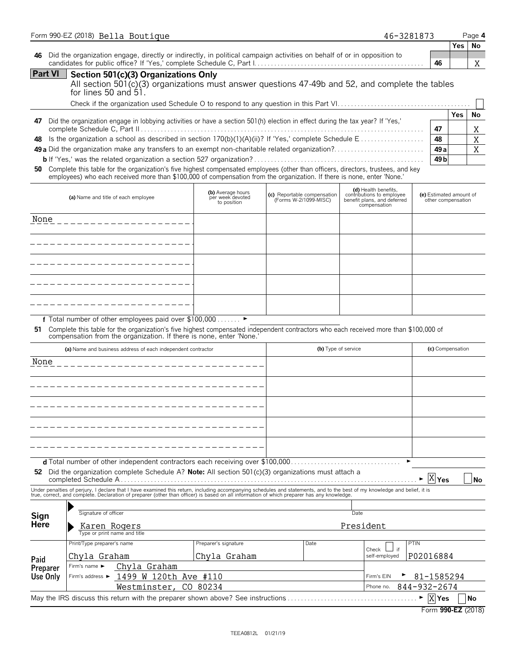|                  | Form 990-EZ (2018) Bella Boutique                                                                                                                                                                                                                                                                                                                                                                                                                                                                                                     |                                       |                             |      |                     | 46-3281873                                        |                                     |                                | Page 4            |
|------------------|---------------------------------------------------------------------------------------------------------------------------------------------------------------------------------------------------------------------------------------------------------------------------------------------------------------------------------------------------------------------------------------------------------------------------------------------------------------------------------------------------------------------------------------|---------------------------------------|-----------------------------|------|---------------------|---------------------------------------------------|-------------------------------------|--------------------------------|-------------------|
| 46               | Did the organization engage, directly or indirectly, in political campaign activities on behalf of or in opposition to                                                                                                                                                                                                                                                                                                                                                                                                                |                                       |                             |      |                     |                                                   | 46                                  | Yes.                           | No<br>Χ           |
| <b>Part VI</b>   | Section 501(c)(3) Organizations Only<br>All section $501(c)(3)$ organizations must answer questions $47-49b$ and $52$ , and complete the tables<br>for lines 50 and 51.                                                                                                                                                                                                                                                                                                                                                               |                                       |                             |      |                     |                                                   |                                     |                                |                   |
| 47<br>48<br>50   | Did the organization engage in lobbying activities or have a section 501(h) election in effect during the tax year? If 'Yes,'<br>49 a Did the organization make any transfers to an exempt non-charitable related organization?<br>Complete this table for the organization's five highest compensated employees (other than officers, directors, trustees, and key<br>employees) who each received more than \$100,000 of compensation from the organization. If there is none, enter 'None.'<br>(a) Name and title of each employee | (b) Average hours<br>per week devoted | (c) Reportable compensation |      |                     | (d) Health benefits,<br>contributions to employee | 47<br>48<br>49 a<br>49 <sub>b</sub> | Yes<br>(e) Estimated amount of | No<br>Χ<br>X<br>X |
|                  |                                                                                                                                                                                                                                                                                                                                                                                                                                                                                                                                       | to position                           | (Forms W-2/1099-MISC)       |      |                     | benefit plans, and deferred<br>compensation       |                                     | other compensation             |                   |
| None             |                                                                                                                                                                                                                                                                                                                                                                                                                                                                                                                                       |                                       |                             |      |                     |                                                   |                                     |                                |                   |
|                  | _ _ _ _ _ _ _ _ _ _ _ _ _ _ _ _ _ _                                                                                                                                                                                                                                                                                                                                                                                                                                                                                                   |                                       |                             |      |                     |                                                   |                                     |                                |                   |
|                  |                                                                                                                                                                                                                                                                                                                                                                                                                                                                                                                                       |                                       |                             |      |                     |                                                   |                                     |                                |                   |
|                  |                                                                                                                                                                                                                                                                                                                                                                                                                                                                                                                                       |                                       |                             |      |                     |                                                   |                                     |                                |                   |
|                  |                                                                                                                                                                                                                                                                                                                                                                                                                                                                                                                                       |                                       |                             |      |                     |                                                   |                                     |                                |                   |
| 51               | f Total number of other employees paid over \$100,000 ►<br>Complete this table for the organization's five highest compensated independent contractors who each received more than \$100,000 of<br>compensation from the organization. If there is none, enter 'None.                                                                                                                                                                                                                                                                 |                                       |                             |      |                     |                                                   |                                     |                                |                   |
|                  | (a) Name and business address of each independent contractor                                                                                                                                                                                                                                                                                                                                                                                                                                                                          |                                       |                             |      | (b) Type of service |                                                   |                                     | (c) Compensation               |                   |
| None             |                                                                                                                                                                                                                                                                                                                                                                                                                                                                                                                                       |                                       |                             |      |                     |                                                   |                                     |                                |                   |
|                  |                                                                                                                                                                                                                                                                                                                                                                                                                                                                                                                                       |                                       |                             |      |                     |                                                   |                                     |                                |                   |
|                  |                                                                                                                                                                                                                                                                                                                                                                                                                                                                                                                                       |                                       |                             |      |                     |                                                   |                                     |                                |                   |
|                  |                                                                                                                                                                                                                                                                                                                                                                                                                                                                                                                                       |                                       |                             |      |                     |                                                   |                                     |                                |                   |
|                  |                                                                                                                                                                                                                                                                                                                                                                                                                                                                                                                                       |                                       |                             |      |                     |                                                   |                                     |                                |                   |
| 52               | d Total number of other independent contractors each receiving over \$100,000<br>Did the organization complete Schedule A? Note: All section $501(c)(3)$ organizations must attach a                                                                                                                                                                                                                                                                                                                                                  |                                       |                             |      |                     |                                                   | X <sub>Yes</sub>                    |                                | No                |
|                  | Under penalties of perjury, I declare that I have examined this return, including accompanying schedules and statements, and to the best of my knowledge and belief, it is true, correct, and complete. Declaration of prepare                                                                                                                                                                                                                                                                                                        |                                       |                             |      |                     |                                                   |                                     |                                |                   |
|                  |                                                                                                                                                                                                                                                                                                                                                                                                                                                                                                                                       |                                       |                             |      |                     |                                                   |                                     |                                |                   |
| Sign<br>Here     | Signature of officer<br>Karen Rogers                                                                                                                                                                                                                                                                                                                                                                                                                                                                                                  |                                       |                             |      | Date<br>President   |                                                   |                                     |                                |                   |
|                  | Type or print name and title<br>Print/Type preparer's name                                                                                                                                                                                                                                                                                                                                                                                                                                                                            | Preparer's signature                  |                             | Date |                     | if<br>Check                                       | PTIN                                |                                |                   |
| Paid<br>Preparer | Chyla Graham<br>Chyla Graham<br>Firm's name $\blacktriangleright$                                                                                                                                                                                                                                                                                                                                                                                                                                                                     | Chyla Graham                          |                             |      |                     | self-employed                                     | P02016884                           |                                |                   |
| Use Only         | 1499 W 120th Ave #110<br>Firm's address ►                                                                                                                                                                                                                                                                                                                                                                                                                                                                                             |                                       |                             |      |                     | Firm's EIN                                        | 81-1585294                          |                                |                   |
|                  | Westminster,                                                                                                                                                                                                                                                                                                                                                                                                                                                                                                                          | CO 80234                              |                             |      |                     | 844-932-2674<br>Phone no.                         |                                     |                                |                   |
|                  | May the IRS discuss this return with the preparer shown above? See instructions                                                                                                                                                                                                                                                                                                                                                                                                                                                       |                                       |                             |      |                     |                                                   | X Yes<br>►                          |                                | No                |
|                  |                                                                                                                                                                                                                                                                                                                                                                                                                                                                                                                                       |                                       |                             |      |                     |                                                   |                                     | Form 990-EZ (2018)             |                   |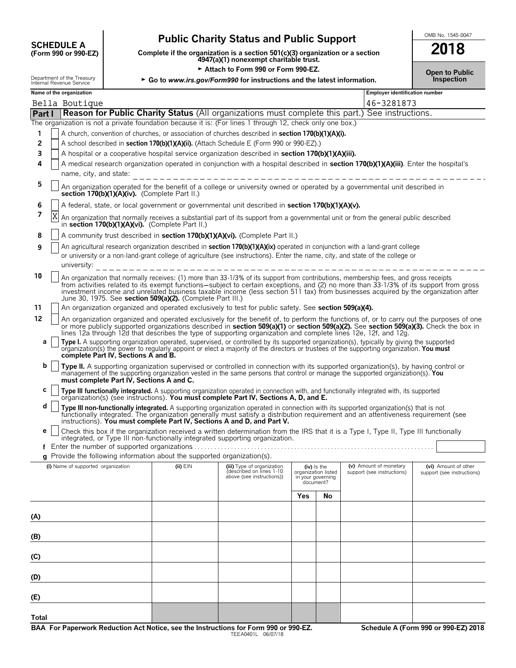## **CHEDULE A** Public Charity Status and Public Support<br>
(Form 990 or 990-EZ) Complete if the organization is a section 501(c)(3) organization or a section

**COMPOUTE A**<br>
(Form 990 or 990-EZ) Complete if the organization is a section 501(c)(3) organization or a section<br>
4947(a)(1) nonexempt charitable trust.

► Attach to Form 990 or Form 990-EZ.<br>gov/Form990 for instructions and the latest information. **Democial conducts** Inspection

|  | Internal Revenue Service |  |
|--|--------------------------|--|
|  |                          |  |

| Department of the Treasury<br>► Go to www.irs.gov/Form990 for instructions and the latest information.<br>Internal Revenue Service |                                                                   |                                          |                                                                          |                                                                                                                                                                                                                                                                                                                                                                                                                    | งแนน เขาแน<br>Inspection       |                                    |                            |                            |
|------------------------------------------------------------------------------------------------------------------------------------|-------------------------------------------------------------------|------------------------------------------|--------------------------------------------------------------------------|--------------------------------------------------------------------------------------------------------------------------------------------------------------------------------------------------------------------------------------------------------------------------------------------------------------------------------------------------------------------------------------------------------------------|--------------------------------|------------------------------------|----------------------------|----------------------------|
|                                                                                                                                    | Name of the organization<br><b>Employer identification number</b> |                                          |                                                                          |                                                                                                                                                                                                                                                                                                                                                                                                                    |                                |                                    |                            |                            |
|                                                                                                                                    | Bella Boutique                                                    |                                          |                                                                          |                                                                                                                                                                                                                                                                                                                                                                                                                    |                                |                                    | 46-3281873                 |                            |
| Part I                                                                                                                             |                                                                   |                                          |                                                                          | Reason for Public Charity Status (All organizations must complete this part.) See instructions.                                                                                                                                                                                                                                                                                                                    |                                |                                    |                            |                            |
|                                                                                                                                    |                                                                   |                                          |                                                                          | The organization is not a private foundation because it is: (For lines 1 through 12, check only one box.)                                                                                                                                                                                                                                                                                                          |                                |                                    |                            |                            |
| 1                                                                                                                                  |                                                                   |                                          |                                                                          | A church, convention of churches, or association of churches described in section 170(b)(1)(A)(i).                                                                                                                                                                                                                                                                                                                 |                                |                                    |                            |                            |
| 2                                                                                                                                  |                                                                   |                                          |                                                                          | A school described in section 170(b)(1)(A)(ii). (Attach Schedule E (Form 990 or 990-EZ).)                                                                                                                                                                                                                                                                                                                          |                                |                                    |                            |                            |
| 3                                                                                                                                  |                                                                   |                                          |                                                                          | A hospital or a cooperative hospital service organization described in section 170(b)(1)(A)(iii).                                                                                                                                                                                                                                                                                                                  |                                |                                    |                            |                            |
| 4                                                                                                                                  |                                                                   |                                          |                                                                          | A medical research organization operated in conjunction with a hospital described in section 170(b)(1)(A)(iii). Enter the hospital's                                                                                                                                                                                                                                                                               |                                |                                    |                            |                            |
|                                                                                                                                    | name, city, and state:                                            |                                          |                                                                          |                                                                                                                                                                                                                                                                                                                                                                                                                    |                                |                                    |                            |                            |
| 5                                                                                                                                  |                                                                   |                                          | section 170(b)(1)(A)(iv). (Complete Part II.)                            | An organization operated for the benefit of a college or university owned or operated by a governmental unit described in                                                                                                                                                                                                                                                                                          |                                |                                    |                            |                            |
| 6                                                                                                                                  |                                                                   |                                          |                                                                          | A federal, state, or local government or governmental unit described in section 170(b)(1)(A)(v).                                                                                                                                                                                                                                                                                                                   |                                |                                    |                            |                            |
| 7                                                                                                                                  | X                                                                 |                                          | in section 170(b)(1)(A)(vi). (Complete Part II.)                         | An organization that normally receives a substantial part of its support from a governmental unit or from the general public described                                                                                                                                                                                                                                                                             |                                |                                    |                            |                            |
| 8                                                                                                                                  |                                                                   |                                          |                                                                          | A community trust described in section 170(b)(1)(A)(vi). (Complete Part II.)                                                                                                                                                                                                                                                                                                                                       |                                |                                    |                            |                            |
| 9                                                                                                                                  |                                                                   |                                          |                                                                          | An agricultural research organization described in section 170(b)(1)(A)(ix) operated in conjunction with a land-grant college                                                                                                                                                                                                                                                                                      |                                |                                    |                            |                            |
|                                                                                                                                    | university:                                                       |                                          |                                                                          | or university or a non-land-grant college of agriculture (see instructions). Enter the name, city, and state of the college or                                                                                                                                                                                                                                                                                     |                                |                                    |                            |                            |
| 10                                                                                                                                 |                                                                   |                                          | June 30, 1975. See section 509(a)(2). (Complete Part III.)               | An organization that normally receives: (1) more than 33-1/3% of its support from contributions, membership fees, and gross receipts<br>from activities related to its exempt functions—subject to certain exceptions, and (2) no more than 33-1/3% of its support from gross<br>investment income and unrelated business taxable income (less section 511 tax) from businesses acquired by the organization after |                                |                                    |                            |                            |
| 11                                                                                                                                 |                                                                   |                                          |                                                                          | An organization organized and operated exclusively to test for public safety. See section 509(a)(4).                                                                                                                                                                                                                                                                                                               |                                |                                    |                            |                            |
| 12                                                                                                                                 |                                                                   |                                          |                                                                          | An organization organized and operated exclusively for the benefit of, to perform the functions of, or to carry out the purposes of one<br>or more publicly supported organizations described in <b>section 509(a)(1)</b> or <b>section </b><br>lines 12a through 12d that describes the type of supporting organization and complete lines 12e, 12f, and 12g.                                                     |                                |                                    |                            |                            |
| а                                                                                                                                  |                                                                   | complete Part IV, Sections A and B.      |                                                                          | Type I. A supporting organization operated, supervised, or controlled by its supported organization(s), typically by giving the supported<br>organization(s) the power to regularly appoint or elect a majority of the directors or trustees of the supporting organization. You must                                                                                                                              |                                |                                    |                            |                            |
| b                                                                                                                                  |                                                                   | must complete Part IV, Sections A and C. |                                                                          | Type II. A supporting organization supervised or controlled in connection with its supported organization(s), by having control or<br>management of the supporting organization vested in the same persons that control or manage the supported organization(s). You                                                                                                                                               |                                |                                    |                            |                            |
| С                                                                                                                                  |                                                                   |                                          |                                                                          | Type III functionally integrated. A supporting organization operated in connection with, and functionally integrated with, its supported organization(s) (see instructions). You must complete Part IV, Sections A, D, and E.                                                                                                                                                                                      |                                |                                    |                            |                            |
| d                                                                                                                                  |                                                                   |                                          |                                                                          | Type III non-functionally integrated. A supporting organization operated in connection with its supported organization(s) that is not<br>functionally integrated. The organization generally must satisfy a distribution requirement and an attentiveness requirement (see<br>instructions). You must complete Part IV, Sections A and D, and Part V.                                                              |                                |                                    |                            |                            |
| е                                                                                                                                  |                                                                   |                                          |                                                                          | Check this box if the organization received a written determination from the IRS that it is a Type I, Type II, Type III functionally                                                                                                                                                                                                                                                                               |                                |                                    |                            |                            |
|                                                                                                                                    |                                                                   |                                          |                                                                          | integrated, or Type III non-functionally integrated supporting organization.                                                                                                                                                                                                                                                                                                                                       |                                |                                    |                            |                            |
|                                                                                                                                    |                                                                   |                                          | g Provide the following information about the supported organization(s). |                                                                                                                                                                                                                                                                                                                                                                                                                    |                                |                                    |                            |                            |
|                                                                                                                                    | (i) Name of supported organization                                |                                          | $(ii)$ $EIN$                                                             |                                                                                                                                                                                                                                                                                                                                                                                                                    |                                |                                    | (v) Amount of monetary     | (vi) Amount of other       |
|                                                                                                                                    |                                                                   |                                          |                                                                          | (iii) Type of organization<br>(described on lines 1-10<br>above (see instructions))                                                                                                                                                                                                                                                                                                                                | in your governing<br>document? | (iv) Is the<br>organization listed | support (see instructions) | support (see instructions) |
|                                                                                                                                    |                                                                   |                                          |                                                                          |                                                                                                                                                                                                                                                                                                                                                                                                                    | Yes                            | No                                 |                            |                            |
| (A)                                                                                                                                |                                                                   |                                          |                                                                          |                                                                                                                                                                                                                                                                                                                                                                                                                    |                                |                                    |                            |                            |
| (B)                                                                                                                                |                                                                   |                                          |                                                                          |                                                                                                                                                                                                                                                                                                                                                                                                                    |                                |                                    |                            |                            |
| (C)                                                                                                                                |                                                                   |                                          |                                                                          |                                                                                                                                                                                                                                                                                                                                                                                                                    |                                |                                    |                            |                            |
| (D)                                                                                                                                |                                                                   |                                          |                                                                          |                                                                                                                                                                                                                                                                                                                                                                                                                    |                                |                                    |                            |                            |
| (E)                                                                                                                                |                                                                   |                                          |                                                                          |                                                                                                                                                                                                                                                                                                                                                                                                                    |                                |                                    |                            |                            |
| <b>Total</b>                                                                                                                       |                                                                   |                                          |                                                                          |                                                                                                                                                                                                                                                                                                                                                                                                                    |                                |                                    |                            |                            |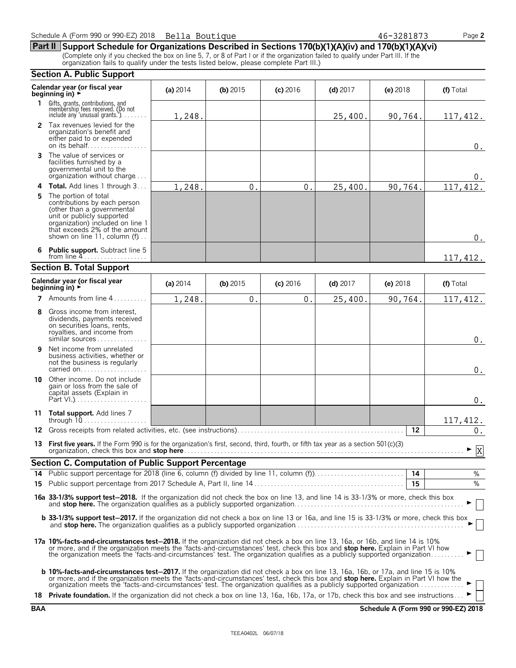|              | <b>Section A. Public Support</b>                                                                                                                                                                                                                                                                                                                                                                          |            |            |            |            |          |           |
|--------------|-----------------------------------------------------------------------------------------------------------------------------------------------------------------------------------------------------------------------------------------------------------------------------------------------------------------------------------------------------------------------------------------------------------|------------|------------|------------|------------|----------|-----------|
|              | Calendar year (or fiscal year<br>beginning in) ►                                                                                                                                                                                                                                                                                                                                                          | (a) $2014$ | (b) $2015$ | $(c)$ 2016 | $(d)$ 2017 | (e) 2018 | (f) Total |
| $\mathbf{1}$ | Gifts, grants, contributions, and<br>membership fees received. (Do not<br>include any 'unusual grants.')                                                                                                                                                                                                                                                                                                  | 1,248.     |            |            | 25,400.    | 90,764.  | 117,412.  |
|              | 2 Tax revenues levied for the<br>organization's benefit and<br>either paid to or expended<br>on its behalf                                                                                                                                                                                                                                                                                                |            |            |            |            |          | 0.        |
| 3            | The value of services or<br>facilities furnished by a<br>governmental unit to the<br>organization without charge                                                                                                                                                                                                                                                                                          |            |            |            |            |          | $0$ .     |
| 4            | <b>Total.</b> Add lines 1 through 3                                                                                                                                                                                                                                                                                                                                                                       | 1,248.     | 0.         | 0.         | 25,400.    | 90,764.  | 117, 412. |
| 5            | The portion of total<br>contributions by each person<br>(other than a governmental<br>unit or publicly supported<br>organization) included on line 1<br>that exceeds 2% of the amount<br>shown on line 11, column (f)                                                                                                                                                                                     |            |            |            |            |          | $0_{.}$   |
|              | <b>Public support.</b> Subtract line 5                                                                                                                                                                                                                                                                                                                                                                    |            |            |            |            |          | 117,412.  |
|              | <b>Section B. Total Support</b>                                                                                                                                                                                                                                                                                                                                                                           |            |            |            |            |          |           |
|              | Calendar year (or fiscal year<br>beginning in) $\rightarrow$                                                                                                                                                                                                                                                                                                                                              | (a) 2014   | (b) $2015$ | (c) 2016   | $(d)$ 2017 | (e) 2018 | (f) Total |
|              | 7 Amounts from line 4<br>.                                                                                                                                                                                                                                                                                                                                                                                | 1,248.     | $0$ .      | 0.         | 25,400.    | 90,764.  | 117,412.  |
| 8            | Gross income from interest,<br>dividends, payments received<br>on securities loans, rents,<br>royalties, and income from<br>similar sources                                                                                                                                                                                                                                                               |            |            |            |            |          | 0.        |
| 9            | Net income from unrelated<br>business activities, whether or<br>not the business is regularly<br>carried on                                                                                                                                                                                                                                                                                               |            |            |            |            |          | 0.        |
|              | <b>10</b> Other income. Do not include<br>gain or loss from the sale of<br>capital assets (Explain in                                                                                                                                                                                                                                                                                                     |            |            |            |            |          | 0.        |
| 11           | Total support. Add lines 7<br>through $10$                                                                                                                                                                                                                                                                                                                                                                |            |            |            |            |          | 117, 412. |
| 12           | Gross receipts from related activities, etc. (see instructions)                                                                                                                                                                                                                                                                                                                                           |            |            |            |            | 12       | $0$ .     |
| 13           | <b>First five years.</b> If the Form 990 is for the organization's first, second, third, fourth, or fifth tax year as a section $501(c)(3)$                                                                                                                                                                                                                                                               |            |            |            |            |          | ► ⊽<br>A, |
|              | <b>Section C. Computation of Public Support Percentage</b>                                                                                                                                                                                                                                                                                                                                                |            |            |            |            |          |           |
| 14           | Public support percentage for 2018 (line 6, column (f) divided by line 11, column (f))                                                                                                                                                                                                                                                                                                                    |            |            |            |            | 14       | %         |
|              |                                                                                                                                                                                                                                                                                                                                                                                                           |            |            |            |            | 15       | %         |
|              | 16a 33-1/3% support test-2018. If the organization did not check the box on line 13, and line 14 is 33-1/3% or more, check this box                                                                                                                                                                                                                                                                       |            |            |            |            |          |           |
|              | <b>b 33-1/3% support test-2017.</b> If the organization did not check a box on line 13 or 16a, and line 15 is 33-1/3% or more, check this box<br>and stop here. The organization qualifies as a publicly supported organization                                                                                                                                                                           |            |            |            |            |          |           |
|              | 17a 10%-facts-and-circumstances test-2018. If the organization did not check a box on line 13, 16a, or 16b, and line 14 is 10%<br>or more, and if the organization meets the 'facts-and-circumstances' test, check this box and stop here. Explain in Part VI how<br>the organization meets the 'facts-and-circumstances' test. The organization qualifies as a publicly supported organization           |            |            |            |            |          |           |
|              | <b>b 10%-facts-and-circumstances test-2017.</b> If the organization did not check a box on line 13, 16a, 16b, or 17a, and line 15 is 10%<br>or more, and if the organization meets the 'facts-and-circumstances' test, check this box and stop here. Explain in Part VI how the<br>organization meets the 'facts-and-circumstances' test. The organization qualifies as a publicly supported organization |            |            |            |            |          |           |
|              | 18 Private foundation. If the organization did not check a box on line 13, 16a, 16b, 17a, or 17b, check this box and see instructions                                                                                                                                                                                                                                                                     |            |            |            |            |          |           |

**BAA Schedule A (Form 990 or 990-EZ) 2018**

| Schedule A (Form 990 or 990-EZ) 2018    Bella Boutique |  | 46-3281873 | Page $2$ |
|--------------------------------------------------------|--|------------|----------|
|--------------------------------------------------------|--|------------|----------|

**Part II Support Schedule for Organizations Described in Sections 170(b)(1)(A)(iv) and 170(b)(1)(A)(vi)** (Complete only if you checked the box on line 5, 7, or 8 of Part I or if the organization failed to qualify under Part III. If the organization fails to qualify under the tests listed below, please complete Part III.)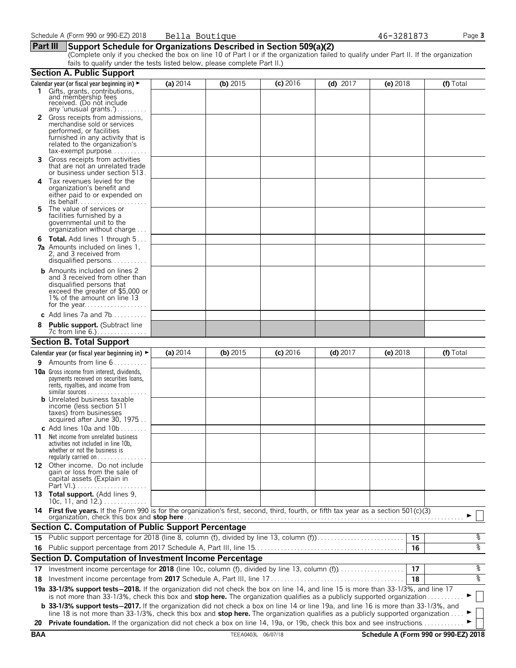#### **Part III Support Schedule for Organizations Described in Section 509(a)(2)**

(Complete only if you checked the box on line 10 of Part I or if the organization failed to qualify under Part II. If the organization fails to qualify under the tests listed below, please complete Part II.)

|            | <b>Section A. Public Support</b>                                                                                                                                                                                                                               |          |                    |            |            |            |                                      |
|------------|----------------------------------------------------------------------------------------------------------------------------------------------------------------------------------------------------------------------------------------------------------------|----------|--------------------|------------|------------|------------|--------------------------------------|
|            | Calendar year (or fiscal year beginning in) ►                                                                                                                                                                                                                  | (a) 2014 | (b) $2015$         | $(c)$ 2016 | $(d)$ 2017 | $(e)$ 2018 | (f) Total                            |
|            | 1 Gifts, grants, contributions,<br>and membership fees<br>received. (Do not include<br>any 'unusual grants.')                                                                                                                                                  |          |                    |            |            |            |                                      |
|            | Gross receipts from admissions,<br>merchandise sold or services<br>performed, or facilities<br>furnished in any activity that is<br>related to the organization's<br>$tax\text{-}exempt$ purpose                                                               |          |                    |            |            |            |                                      |
| 3.         | Gross receipts from activities<br>that are not an unrelated trade<br>or business under section 513.                                                                                                                                                            |          |                    |            |            |            |                                      |
| 4          | Tax revenues levied for the<br>organization's benefit and<br>either paid to or expended on<br>its behalf                                                                                                                                                       |          |                    |            |            |            |                                      |
| 5.         | The value of services or<br>facilities furnished by a<br>governmental unit to the<br>organization without charge                                                                                                                                               |          |                    |            |            |            |                                      |
|            | <b>6 Total.</b> Add lines 1 through 5<br><b>7a</b> Amounts included on lines 1,<br>2, and 3 received from<br>disqualified persons                                                                                                                              |          |                    |            |            |            |                                      |
|            | <b>b</b> Amounts included on lines 2<br>and 3 received from other than<br>disqualified persons that<br>exceed the greater of \$5,000 or<br>1% of the amount on line 13                                                                                         |          |                    |            |            |            |                                      |
|            | c Add lines $7a$ and $7b$                                                                                                                                                                                                                                      |          |                    |            |            |            |                                      |
|            | <b>Public support.</b> (Subtract line                                                                                                                                                                                                                          |          |                    |            |            |            |                                      |
|            | <b>Section B. Total Support</b>                                                                                                                                                                                                                                |          |                    |            |            |            |                                      |
|            | Calendar year (or fiscal year beginning in) $\blacktriangleright$                                                                                                                                                                                              | (a) 2014 | $(b)$ 2015         | $(c)$ 2016 | $(d)$ 2017 | (e) 2018   | (f) Total                            |
| 9.         | Amounts from line 6                                                                                                                                                                                                                                            |          |                    |            |            |            |                                      |
|            | <b>10a</b> Gross income from interest, dividends,<br>payments received on securities loans,<br>rents, royalties, and income from<br><b>b</b> Unrelated business taxable                                                                                        |          |                    |            |            |            |                                      |
|            | income (less section 511<br>taxes) from businesses<br>acquired after June 30, 1975<br>c Add lines 10a and $10b$                                                                                                                                                |          |                    |            |            |            |                                      |
| 11         | Net income from unrelated business<br>activities not included in line 10b,<br>whether or not the business is<br>regularly carried on $\dots\dots\dots\dots\dots$                                                                                               |          |                    |            |            |            |                                      |
|            | 12 Other income. Do not include<br>gain or loss from the sale of<br>capital assets (Explain in                                                                                                                                                                 |          |                    |            |            |            |                                      |
|            | 13 Total support. (Add lines 9,<br>10c, 11, and $12.$ )                                                                                                                                                                                                        |          |                    |            |            |            |                                      |
|            | 14 First five years. If the Form 990 is for the organization's first, second, third, fourth, or fifth tax year as a section 501(c)(3)                                                                                                                          |          |                    |            |            |            |                                      |
|            | <b>Section C. Computation of Public Support Percentage</b>                                                                                                                                                                                                     |          |                    |            |            |            |                                      |
| 15         | Public support percentage for 2018 (line 8, column (f), divided by line 13, column (f)                                                                                                                                                                         |          |                    |            |            | 15         | နွ                                   |
|            |                                                                                                                                                                                                                                                                |          |                    |            |            | 16         | နွ                                   |
|            | Section D. Computation of Investment Income Percentage                                                                                                                                                                                                         |          |                    |            |            |            |                                      |
| 17         | Investment income percentage for 2018 (line 10c, column (f), divided by line 13, column (f)                                                                                                                                                                    |          |                    |            |            | 17         | နွ                                   |
| 18         |                                                                                                                                                                                                                                                                |          |                    |            |            | 18         | နွ                                   |
|            | 19a 33-1/3% support tests-2018. If the organization did not check the box on line 14, and line 15 is more than 33-1/3%, and line 17<br>is not more than 33-1/3%, check this box and stop here. The organization qualifies as a publicly supported organization |          |                    |            |            |            |                                      |
|            | <b>b</b> 33-1/3% support tests-2017. If the organization did not check a box on line 14 or line 19a, and line 16 is more than 33-1/3%, and                                                                                                                     |          |                    |            |            |            |                                      |
| 20         | line 18 is not more than 33-1/3%, check this box and stop here. The organization qualifies as a publicly supported organization<br>Private foundation. If the organization did not check a box on line 14, 19a, or 19b, check this box and see instructions    |          |                    |            |            |            |                                      |
| <b>BAA</b> |                                                                                                                                                                                                                                                                |          | TEEA0403L 06/07/18 |            |            |            | Schedule A (Form 990 or 990-EZ) 2018 |
|            |                                                                                                                                                                                                                                                                |          |                    |            |            |            |                                      |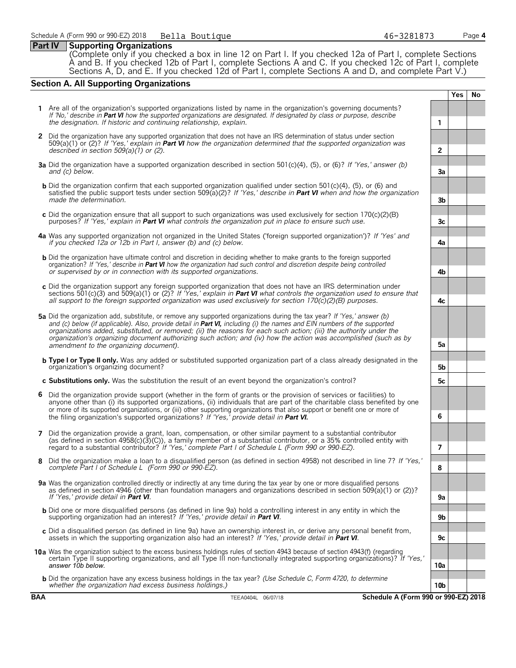#### **Part IV Supporting Organizations**

(Complete only if you checked a box in line 12 on Part I. If you checked 12a of Part I, complete Sections A and B. If you checked 12b of Part I, complete Sections A and C. If you checked 12c of Part I, complete Sections A, D, and E. If you checked 12d of Part I, complete Sections A and D, and complete Part V.)

#### **Section A. All Supporting Organizations**

**Yes No 1** Are all of the organization's supported organizations listed by name in the organization's governing documents? *If 'No,' describe in Part VI how the supported organizations are designated. If designated by class or purpose, describe the designation. If historic and continuing relationship, explain.* **1 2** Did the organization have any supported organization that does not have an IRS determination of status under section 509(a)(1) or (2)? *If 'Yes,' explain in Part VI how the organization determined that the supported organization was described in section 509(a)(1) or (2).* **2 3a** Did the organization have a supported organization described in section 501(c)(4), (5), or (6)? *If 'Yes,' answer (b) and (c) below.* **3a b** Did the organization confirm that each supported organization qualified under section 501(c)(4), (5), or (6) and satisfied the public support tests under section 509(a)(2)? *If 'Yes,' describe in Part VI when and how the organization made the determination.* **3b c** Did the organization ensure that all support to such organizations was used exclusively for section 170(c)(2)(B) purposes? *If 'Yes,' explain in Part VI what controls the organization put in place to ensure such use.* **3c 4a** Was any supported organization not organized in the United States ('foreign supported organization')? *If 'Yes' and if you checked 12a or 12b in Part I, answer (b) and (c) below.* **4a b** Did the organization have ultimate control and discretion in deciding whether to make grants to the foreign supported organization? *If 'Yes,' describe in Part VI how the organization had such control and discretion despite being controlled or supervised by or in connection with its supported organizations.* **4b c** Did the organization support any foreign supported organization that does not have an IRS determination under sections 501(c)(3) and 509(a)(1) or (2)? *If 'Yes,' explain in Part VI what controls the organization used to ensure that all support to the foreign supported organization was used exclusively for section 170(c)(2)(B) purposes.* **4c 5a** Did the organization add, substitute, or remove any supported organizations during the tax year? *If 'Yes,' answer (b)* and (c) below (if applicable). Also, provide detail in **Part VI**, including (i) the names and EIN numbers of the supported *organizations added, substituted, or removed; (ii) the reasons for each such action; (iii) the authority under the organization's organizing document authorizing such action; and (iv) how the action was accomplished (such as by amendment to the organizing document).* **5a b Type I or Type II only.** Was any added or substituted supported organization part of a class already designated in the organization's organizing document? **5b c Substitutions only.** Was the substitution the result of an event beyond the organization's control? **5c 6** Did the organization provide support (whether in the form of grants or the provision of services or facilities) to anyone other than (i) its supported organizations, (ii) individuals that are part of the charitable class benefited by one or more of its supported organizations, or (iii) other supporting organizations that also support or benefit one or more of the filing organization's supported organizations? *If 'Yes,' provide detail in Part VI.* **6 7** Did the organization provide a grant, loan, compensation, or other similar payment to a substantial contributor (as defined in section 4958(c)(3)(C)), a family member of a substantial contributor, or a 35% controlled entity with regard to a substantial contributor? *If 'Yes,' complete Part I of Schedule L (Form 990 or 990-EZ).* **7 8** Did the organization make a loan to a disqualified person (as defined in section 4958) not described in line 7? *If 'Yes,' complete Part I of Schedule L (Form 990 or 990-EZ).* **8 9a** Was the organization controlled directly or indirectly at any time during the tax year by one or more disqualified persons as defined in section 4946 (other than foundation managers and organizations described in section 509(a)(1) or (2))? *If 'Yes,' provide detail in Part VI*. b Did one or more disqualified persons (as defined in line 9a) hold a controlling interest in any entity in which the<br>supporting organization had an interest? If 'Yes,' provide detail in Part VI. **c** Did a disqualified person (as defined in line 9a) have an ownership interest in, or derive any personal benefit from, assets in which the supporting organization also had an interest? *If 'Yes,' provide detail in Part VI*. **9c 10a** Was the organization subject to the excess business holdings rules of section 4943 because of section 4943(f) (regarding certain Type II supporting organizations, and all Type III non-functionally integrated supporting organizations)? *If 'Yes,' answer 10b below.* **10a b** Did the organization have any excess business holdings in the tax year? *(Use Schedule C, Form 4720, to determine whether the organization had excess business holdings.)* **10b**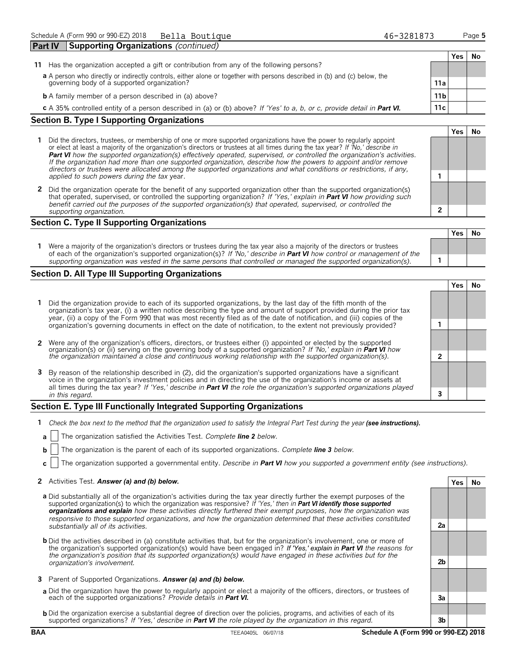| <b>Part IV</b>                                    | <b>Supporting Organizations (continued)</b>                                                                               |                 |     |    |  |
|---------------------------------------------------|---------------------------------------------------------------------------------------------------------------------------|-----------------|-----|----|--|
|                                                   |                                                                                                                           |                 | Yes | Nο |  |
| 11.                                               | Has the organization accepted a gift or contribution from any of the following persons?                                   |                 |     |    |  |
|                                                   | a A person who directly or indirectly controls, either alone or together with persons described in (b) and (c) below, the |                 |     |    |  |
|                                                   | governing body of a supported organization?                                                                               | 11a             |     |    |  |
|                                                   | <b>b</b> A family member of a person described in (a) above?                                                              | 11 <sub>b</sub> |     |    |  |
|                                                   | c A 35% controlled entity of a person described in (a) or (b) above? If 'Yes' to a, b, or c, provide detail in Part VI.   | 11c             |     |    |  |
| <b>Section B. Type I Supporting Organizations</b> |                                                                                                                           |                 |     |    |  |

- **1** Did the directors, trustees, or membership of one or more supported organizations have the power to regularly appoint or elect at least a majority of the organization's directors or trustees at all times during the tax year? *If 'No,' describe in Part VI how the supported organization(s) effectively operated, supervised, or controlled the organization's activities. If the organization had more than one supported organization, describe how the powers to appoint and/or remove directors or trustees were allocated among the supported organizations and what conditions or restrictions, if any, applied to such powers during the tax* year. **1**
- **2** Did the organization operate for the benefit of any supported organization other than the supported organization(s) that operated, supervised, or controlled the supporting organization? *If 'Yes,' explain in Part VI how providing such benefit carried out the purposes of the supported organization(s) that operated, supervised, or controlled the supporting organization.* **2**

#### **Section C. Type II Supporting Organizations**

| Were a majority of the organization's directors or trustees during the tax year also a majority of the directors or trustees<br>of each of the organization's supported organization(s)? If 'No,' describe in <b>Part VI</b> how control or management of the |  |  |
|---------------------------------------------------------------------------------------------------------------------------------------------------------------------------------------------------------------------------------------------------------------|--|--|
| supporting organization was vested in the same persons that controlled or managed the supported organization(s).                                                                                                                                              |  |  |

#### **Section D. All Type III Supporting Organizations**

**Yes No 1** Did the organization provide to each of its supported organizations, by the last day of the fifth month of the organization's tax year, (i) a written notice describing the type and amount of support provided during the prior tax year, (ii) a copy of the Form 990 that was most recently filed as of the date of notification, and (iii) copies of the organization's governing documents in effect on the date of notification, to the extent not previously provided? **1 2** Were any of the organization's officers, directors, or trustees either (i) appointed or elected by the supported organization(s) or (ii) serving on the governing body of a supported organization? *If 'No,' explain in Part VI how the organization maintained a close and continuous working relationship with the supported organization(s).* **2 3** By reason of the relationship described in (2), did the organization's supported organizations have a significant voice in the organization's investment policies and in directing the use of the organization's income or assets at all times during the tax year? *If 'Yes,' describe in Part VI the role the organization's supported organizations played in this regard.* **3**

#### **Section E. Type III Functionally Integrated Supporting Organizations**

- **1** *Check the box next to the method that the organization used to satisfy the Integral Part Test during the year (see instructions).* 
	- **a** The organization satisfied the Activities Test. *Complete line 2 below.*
	- **b** The organization is the parent of each of its supported organizations. *Complete line 3 below.*
	- **c** The organization supported a governmental entity. *Describe in Part VI how you supported a government entity (see instructions).*

#### **2** Activities Test. *Answer (a) and (b) below.* **Yes No**

- **a** Did substantially all of the organization's activities during the tax year directly further the exempt purposes of the supported organization(s) to which the organization was responsive? *If 'Yes,' then in Part VI identify those supported organizations and explain how these activities directly furthered their exempt purposes, how the organization was responsive to those supported organizations, and how the organization determined that these activities constituted substantially all of its activities.* **2a**
- **b** Did the activities described in (a) constitute activities that, but for the organization's involvement, one or more of the organization's supported organization(s) would have been engaged in? *If 'Yes,' explain in Part VI the reasons for the organization's position that its supported organization(s) would have engaged in these activities but for the organization's involvement.* **2b**
- **3** Parent of Supported Organizations. *Answer (a) and (b) below.*
- **a** Did the organization have the power to regularly appoint or elect a majority of the officers, directors, or trustees of each of the supported organizations? *Provide details in Part VI.* **3a**
- **b** Did the organization exercise a substantial degree of direction over the policies, programs, and activities of each of its supported organizations? *If 'Yes,' describe in Part VI the role played by the organization in this regard.* **3b**



**Yes No**

**Yes No**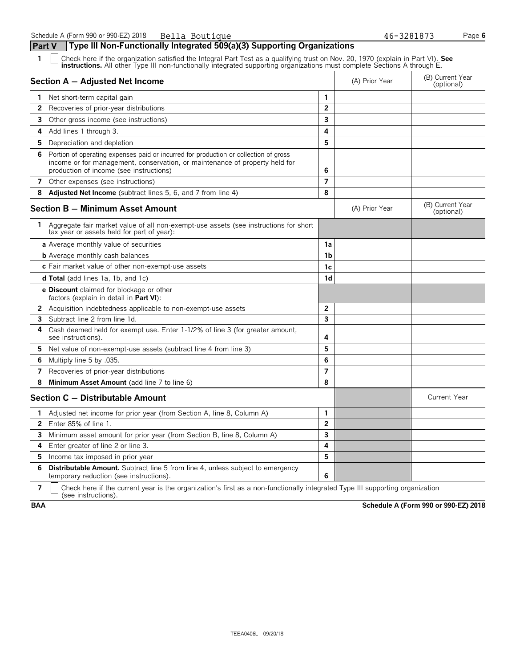| Part V | Type III Non-Functionally Integrated 509(a)(3) Supporting Organizations                                                                                                                                                        |                |                |                                |
|--------|--------------------------------------------------------------------------------------------------------------------------------------------------------------------------------------------------------------------------------|----------------|----------------|--------------------------------|
| 1      | Check here if the organization satisfied the Integral Part Test as a qualifying trust on Nov. 20, 1970 (explain in Part VI). See instructions. All other Type III non-functionally integrated supporting organizations must co |                |                |                                |
|        | Section A - Adjusted Net Income                                                                                                                                                                                                |                | (A) Prior Year | (B) Current Year<br>(optional) |
| 1.     | Net short-term capital gain                                                                                                                                                                                                    | 1              |                |                                |
| 2      | Recoveries of prior-year distributions                                                                                                                                                                                         | $\overline{2}$ |                |                                |
| 3      | Other gross income (see instructions)                                                                                                                                                                                          | 3              |                |                                |
| 4      | Add lines 1 through 3.                                                                                                                                                                                                         | 4              |                |                                |
| 5      | Depreciation and depletion                                                                                                                                                                                                     | 5              |                |                                |
| 6      | Portion of operating expenses paid or incurred for production or collection of gross<br>income or for management, conservation, or maintenance of property held for<br>production of income (see instructions)                 | 6              |                |                                |
| 7      | Other expenses (see instructions)                                                                                                                                                                                              | $\overline{7}$ |                |                                |
| 8      | Adjusted Net Income (subtract lines 5, 6, and 7 from line 4)                                                                                                                                                                   | 8              |                |                                |
|        | <b>Section B - Minimum Asset Amount</b>                                                                                                                                                                                        |                | (A) Prior Year | (B) Current Year<br>(optional) |
|        | 1 Aggregate fair market value of all non-exempt-use assets (see instructions for short<br>tax year or assets held for part of year):                                                                                           |                |                |                                |
|        | a Average monthly value of securities                                                                                                                                                                                          | 1a             |                |                                |
|        | <b>b</b> Average monthly cash balances                                                                                                                                                                                         | 1b             |                |                                |
|        | c Fair market value of other non-exempt-use assets                                                                                                                                                                             | 1c             |                |                                |
|        | <b>d Total</b> (add lines 1a, 1b, and 1c)                                                                                                                                                                                      | 1d             |                |                                |
|        | <b>e Discount</b> claimed for blockage or other<br>factors (explain in detail in <b>Part VI</b> ):                                                                                                                             |                |                |                                |
|        | <b>2</b> Acquisition indebtedness applicable to non-exempt-use assets                                                                                                                                                          | 2              |                |                                |
| 3      | Subtract line 2 from line 1d.                                                                                                                                                                                                  | 3              |                |                                |
| 4      | Cash deemed held for exempt use. Enter 1-1/2% of line 3 (for greater amount,<br>see instructions)                                                                                                                              | 4              |                |                                |
| 5.     | Net value of non-exempt-use assets (subtract line 4 from line 3)                                                                                                                                                               | 5              |                |                                |
| 6      | Multiply line 5 by .035.                                                                                                                                                                                                       | 6              |                |                                |
| 7      | Recoveries of prior-year distributions                                                                                                                                                                                         | 7              |                |                                |
| 8      | Minimum Asset Amount (add line 7 to line 6)                                                                                                                                                                                    | 8              |                |                                |
|        | Section C - Distributable Amount                                                                                                                                                                                               |                |                | <b>Current Year</b>            |
| 1.     | Adjusted net income for prior year (from Section A, line 8, Column A)                                                                                                                                                          | 1              |                |                                |
| 2      | Enter 85% of line 1.                                                                                                                                                                                                           | $\overline{2}$ |                |                                |
| 3      | Minimum asset amount for prior year (from Section B, line 8, Column A)                                                                                                                                                         | 3              |                |                                |
| 4      | Enter greater of line 2 or line 3.                                                                                                                                                                                             | 4              |                |                                |
| 5      | Income tax imposed in prior year                                                                                                                                                                                               | 5              |                |                                |
| 6      | <b>Distributable Amount.</b> Subtract line 5 from line 4, unless subject to emergency<br>temporary reduction (see instructions).                                                                                               | 6              |                |                                |

**7**  $\mid$  Check here if the current year is the organization's first as a non-functionally integrated Type III supporting organization (see instructions).

**BAA Schedule A (Form 990 or 990-EZ) 2018**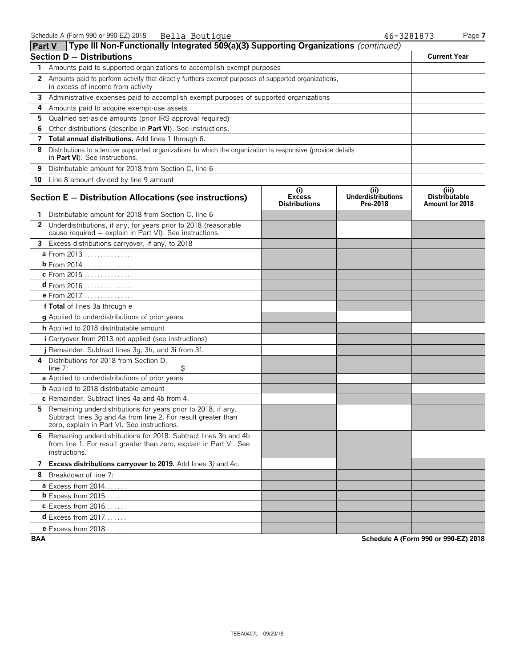| <b>Part V</b> | Type III Non-Functionally Integrated 509(a)(3) Supporting Organizations (continued)                                                                                             |                                              |                                              |                                                  |
|---------------|---------------------------------------------------------------------------------------------------------------------------------------------------------------------------------|----------------------------------------------|----------------------------------------------|--------------------------------------------------|
|               | <b>Section D - Distributions</b>                                                                                                                                                |                                              |                                              | <b>Current Year</b>                              |
| 1             | Amounts paid to supported organizations to accomplish exempt purposes                                                                                                           |                                              |                                              |                                                  |
| 2             | Amounts paid to perform activity that directly furthers exempt purposes of supported organizations,<br>in excess of income from activity                                        |                                              |                                              |                                                  |
| 3             | Administrative expenses paid to accomplish exempt purposes of supported organizations                                                                                           |                                              |                                              |                                                  |
| 4             | Amounts paid to acquire exempt-use assets                                                                                                                                       |                                              |                                              |                                                  |
| 5             | Qualified set-aside amounts (prior IRS approval required)                                                                                                                       |                                              |                                              |                                                  |
| 6             | Other distributions (describe in Part VI). See instructions.                                                                                                                    |                                              |                                              |                                                  |
| 7             | Total annual distributions. Add lines 1 through 6.                                                                                                                              |                                              |                                              |                                                  |
| 8             | Distributions to attentive supported organizations to which the organization is responsive (provide details<br>in Part VI). See instructions.                                   |                                              |                                              |                                                  |
| 9             | Distributable amount for 2018 from Section C, line 6                                                                                                                            |                                              |                                              |                                                  |
|               | 10 Line 8 amount divided by line 9 amount                                                                                                                                       |                                              |                                              |                                                  |
|               | Section E - Distribution Allocations (see instructions)                                                                                                                         | (i)<br><b>Excess</b><br><b>Distributions</b> | (i)<br><b>Underdistributions</b><br>Pre-2018 | (iii)<br><b>Distributable</b><br>Amount for 2018 |
|               | 1 Distributable amount for 2018 from Section C, line 6                                                                                                                          |                                              |                                              |                                                  |
|               | 2 Underdistributions, if any, for years prior to 2018 (reasonable<br>cause required - explain in Part VI). See instructions.                                                    |                                              |                                              |                                                  |
| 3             | Excess distributions carryover, if any, to 2018                                                                                                                                 |                                              |                                              |                                                  |
|               | a From 2013                                                                                                                                                                     |                                              |                                              |                                                  |
|               | <b>b</b> From 2014                                                                                                                                                              |                                              |                                              |                                                  |
|               | c From 2015                                                                                                                                                                     |                                              |                                              |                                                  |
|               | <b>d</b> From 2016                                                                                                                                                              |                                              |                                              |                                                  |
|               | <b>e</b> From 2017.                                                                                                                                                             |                                              |                                              |                                                  |
|               | f Total of lines 3a through e                                                                                                                                                   |                                              |                                              |                                                  |
|               | g Applied to underdistributions of prior years                                                                                                                                  |                                              |                                              |                                                  |
|               | h Applied to 2018 distributable amount                                                                                                                                          |                                              |                                              |                                                  |
|               | i Carryover from 2013 not applied (see instructions)                                                                                                                            |                                              |                                              |                                                  |
|               | j Remainder. Subtract lines 3g, 3h, and 3i from 3f.                                                                                                                             |                                              |                                              |                                                  |
|               | 4 Distributions for 2018 from Section D,<br>\$<br>line $7:$                                                                                                                     |                                              |                                              |                                                  |
|               | a Applied to underdistributions of prior years                                                                                                                                  |                                              |                                              |                                                  |
|               | <b>b</b> Applied to 2018 distributable amount                                                                                                                                   |                                              |                                              |                                                  |
|               | c Remainder. Subtract lines 4a and 4b from 4.                                                                                                                                   |                                              |                                              |                                                  |
|               | 5 Remaining underdistributions for years prior to 2018, if any.<br>Subtract lines 3g and 4a from line 2. For result greater than<br>zero, explain in Part VI. See instructions. |                                              |                                              |                                                  |
|               | 6 Remaining underdistributions for 2018. Subtract lines 3h and 4b<br>from line 1. For result greater than zero, explain in Part VI. See<br>instructions.                        |                                              |                                              |                                                  |
|               | 7 Excess distributions carryover to 2019. Add lines 3j and 4c.                                                                                                                  |                                              |                                              |                                                  |
|               | 8 Breakdown of line 7:                                                                                                                                                          |                                              |                                              |                                                  |
|               | <b>a</b> Excess from 2014                                                                                                                                                       |                                              |                                              |                                                  |
|               | <b>b</b> Excess from $2015$ .                                                                                                                                                   |                                              |                                              |                                                  |
|               | <b>c</b> Excess from 2016                                                                                                                                                       |                                              |                                              |                                                  |
|               | <b>d</b> Excess from 2017                                                                                                                                                       |                                              |                                              |                                                  |
|               | e Excess from $2018$                                                                                                                                                            |                                              |                                              |                                                  |

**BAA Schedule A (Form 990 or 990-EZ) 2018**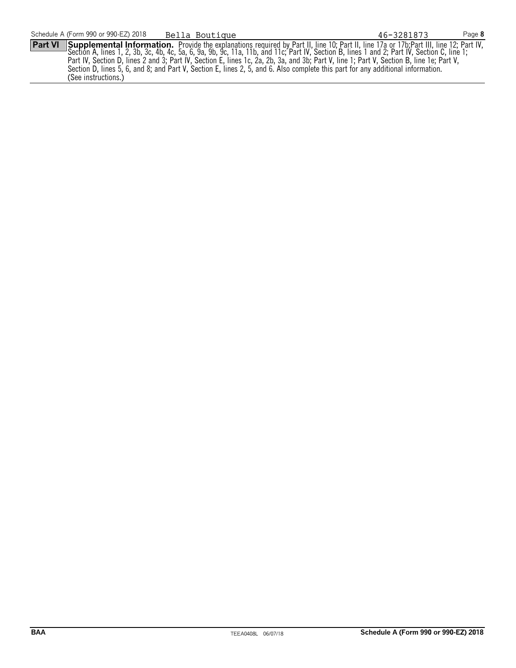**Part VI** Supplemental Information. Provide the explanations required by Part II, line 10; Part II, line 17a or 17b; Part III, line 12; Part IV, Section A, lines 1, 2, 3b, 3c, 4b, 4c, 5a, 6, 9a, 9b, 9c, 11a, 11b, and 11c; Part IV, Section B, lines 1 and 2; Part IV, Section C, line 1; Part IV, Section D, lines 2 and 3; Part IV, Section E, lines 1c, 2a, 2b, 3a, and 3b; Part V, line 1; Part V, Section B, line 1e; Part V, Section D, lines 5, 6, and 8; and Part V, Section E, lines 2, 5, and 6. Also complete this part for any additional information. (See instructions.)